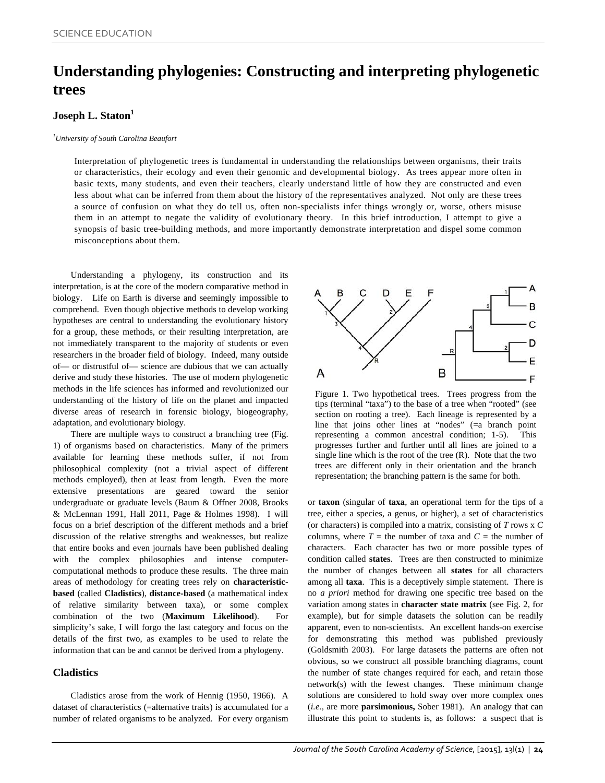# **Understanding phylogenies: Constructing and interpreting phylogenetic trees**

## **Joseph L. Staton<sup>1</sup>**

#### *1 University of South Carolina Beaufort*

Interpretation of phylogenetic trees is fundamental in understanding the relationships between organisms, their traits or characteristics, their ecology and even their genomic and developmental biology. As trees appear more often in basic texts, many students, and even their teachers, clearly understand little of how they are constructed and even less about what can be inferred from them about the history of the representatives analyzed. Not only are these trees a source of confusion on what they do tell us, often non-specialists infer things wrongly or, worse, others misuse them in an attempt to negate the validity of evolutionary theory. In this brief introduction, I attempt to give a synopsis of basic tree-building methods, and more importantly demonstrate interpretation and dispel some common misconceptions about them.

Understanding a phylogeny, its construction and its interpretation, is at the core of the modern comparative method in biology. Life on Earth is diverse and seemingly impossible to comprehend. Even though objective methods to develop working hypotheses are central to understanding the evolutionary history for a group, these methods, or their resulting interpretation, are not immediately transparent to the majority of students or even researchers in the broader field of biology. Indeed, many outside of— or distrustful of— science are dubious that we can actually derive and study these histories. The use of modern phylogenetic methods in the life sciences has informed and revolutionized our understanding of the history of life on the planet and impacted diverse areas of research in forensic biology, biogeography, adaptation, and evolutionary biology.

There are multiple ways to construct a branching tree (Fig. 1) of organisms based on characteristics. Many of the primers available for learning these methods suffer, if not from philosophical complexity (not a trivial aspect of different methods employed), then at least from length. Even the more extensive presentations are geared toward the senior undergraduate or graduate levels (Baum & Offner 2008, Brooks & McLennan 1991, Hall 2011, Page & Holmes 1998). I will focus on a brief description of the different methods and a brief discussion of the relative strengths and weaknesses, but realize that entire books and even journals have been published dealing with the complex philosophies and intense computercomputational methods to produce these results. The three main areas of methodology for creating trees rely on **characteristicbased** (called **Cladistics**), **distance-based** (a mathematical index of relative similarity between taxa), or some complex combination of the two (**Maximum Likelihood**). For simplicity's sake, I will forgo the last category and focus on the details of the first two, as examples to be used to relate the information that can be and cannot be derived from a phylogeny.

### **Cladistics**

Cladistics arose from the work of Hennig (1950, 1966). A dataset of characteristics (=alternative traits) is accumulated for a number of related organisms to be analyzed. For every organism



Figure 1. Two hypothetical trees. Trees progress from the tips (terminal "taxa") to the base of a tree when "rooted" (see section on rooting a tree). Each lineage is represented by a line that joins other lines at "nodes" (=a branch point representing a common ancestral condition; 1-5). This progresses further and further until all lines are joined to a single line which is the root of the tree  $(R)$ . Note that the two trees are different only in their orientation and the branch representation; the branching pattern is the same for both.

or **taxon** (singular of **taxa**, an operational term for the tips of a tree, either a species, a genus, or higher), a set of characteristics (or characters) is compiled into a matrix, consisting of *T* rows x *C* columns, where  $T =$  the number of taxa and  $C =$  the number of characters. Each character has two or more possible types of condition called **states**. Trees are then constructed to minimize the number of changes between all **states** for all characters among all **taxa**. This is a deceptively simple statement. There is no *a priori* method for drawing one specific tree based on the variation among states in **character state matrix** (see Fig. 2, for example), but for simple datasets the solution can be readily apparent, even to non-scientists. An excellent hands-on exercise for demonstrating this method was published previously (Goldsmith 2003). For large datasets the patterns are often not obvious, so we construct all possible branching diagrams, count the number of state changes required for each, and retain those network(s) with the fewest changes. These minimum change solutions are considered to hold sway over more complex ones (*i.e.*, are more **parsimonious,** Sober 1981). An analogy that can illustrate this point to students is, as follows: a suspect that is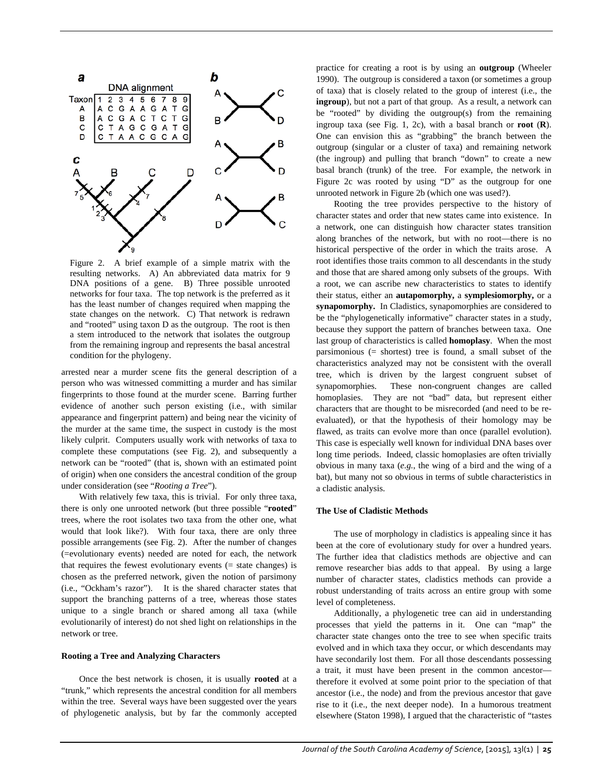

Figure 2. A brief example of a simple matrix with the resulting networks. A) An abbreviated data matrix for 9 DNA positions of a gene. B) Three possible unrooted networks for four taxa. The top network is the preferred as it has the least number of changes required when mapping the state changes on the network. C) That network is redrawn and "rooted" using taxon D as the outgroup. The root is then a stem introduced to the network that isolates the outgroup from the remaining ingroup and represents the basal ancestral condition for the phylogeny.

arrested near a murder scene fits the general description of a person who was witnessed committing a murder and has similar fingerprints to those found at the murder scene. Barring further evidence of another such person existing (i.e., with similar appearance and fingerprint pattern) and being near the vicinity of the murder at the same time, the suspect in custody is the most likely culprit. Computers usually work with networks of taxa to complete these computations (see Fig. 2), and subsequently a network can be "rooted" (that is, shown with an estimated point of origin) when one considers the ancestral condition of the group under consideration (see "*Rooting a Tree*").

With relatively few taxa, this is trivial. For only three taxa, there is only one unrooted network (but three possible "**rooted**" trees, where the root isolates two taxa from the other one, what would that look like?). With four taxa, there are only three possible arrangements (see Fig. 2). After the number of changes (=evolutionary events) needed are noted for each, the network that requires the fewest evolutionary events (= state changes) is chosen as the preferred network, given the notion of parsimony (i.e., "Ockham's razor"). It is the shared character states that support the branching patterns of a tree, whereas those states unique to a single branch or shared among all taxa (while evolutionarily of interest) do not shed light on relationships in the network or tree.

### **Rooting a Tree and Analyzing Characters**

Once the best network is chosen, it is usually **rooted** at a "trunk," which represents the ancestral condition for all members within the tree. Several ways have been suggested over the years of phylogenetic analysis, but by far the commonly accepted

practice for creating a root is by using an **outgroup** (Wheeler 1990). The outgroup is considered a taxon (or sometimes a group of taxa) that is closely related to the group of interest (i.e., the **ingroup**), but not a part of that group. As a result, a network can be "rooted" by dividing the outgroup(s) from the remaining ingroup taxa (see Fig. 1, 2c), with a basal branch or **root** (**R**). One can envision this as "grabbing" the branch between the outgroup (singular or a cluster of taxa) and remaining network (the ingroup) and pulling that branch "down" to create a new basal branch (trunk) of the tree. For example, the network in Figure 2c was rooted by using "D" as the outgroup for one unrooted network in Figure 2b (which one was used?).

Rooting the tree provides perspective to the history of character states and order that new states came into existence. In a network, one can distinguish how character states transition along branches of the network, but with no root—there is no historical perspective of the order in which the traits arose. A root identifies those traits common to all descendants in the study and those that are shared among only subsets of the groups. With a root, we can ascribe new characteristics to states to identify their status, either an **autapomorphy,** a **symplesiomorphy,** or a **synapomorphy.** In Cladistics, synapomorphies are considered to be the "phylogenetically informative" character states in a study, because they support the pattern of branches between taxa. One last group of characteristics is called **homoplasy**. When the most parsimonious (= shortest) tree is found, a small subset of the characteristics analyzed may not be consistent with the overall tree, which is driven by the largest congruent subset of synapomorphies. These non-congruent changes are called homoplasies. They are not "bad" data, but represent either characters that are thought to be misrecorded (and need to be reevaluated), or that the hypothesis of their homology may be flawed, as traits can evolve more than once (parallel evolution). This case is especially well known for individual DNA bases over long time periods. Indeed, classic homoplasies are often trivially obvious in many taxa (*e.g.*, the wing of a bird and the wing of a bat), but many not so obvious in terms of subtle characteristics in a cladistic analysis.

#### **The Use of Cladistic Methods**

The use of morphology in cladistics is appealing since it has been at the core of evolutionary study for over a hundred years. The further idea that cladistics methods are objective and can remove researcher bias adds to that appeal. By using a large number of character states, cladistics methods can provide a robust understanding of traits across an entire group with some level of completeness.

Additionally, a phylogenetic tree can aid in understanding processes that yield the patterns in it. One can "map" the character state changes onto the tree to see when specific traits evolved and in which taxa they occur, or which descendants may have secondarily lost them. For all those descendants possessing a trait, it must have been present in the common ancestor therefore it evolved at some point prior to the speciation of that ancestor (i.e., the node) and from the previous ancestor that gave rise to it (i.e., the next deeper node). In a humorous treatment elsewhere (Staton 1998), I argued that the characteristic of "tastes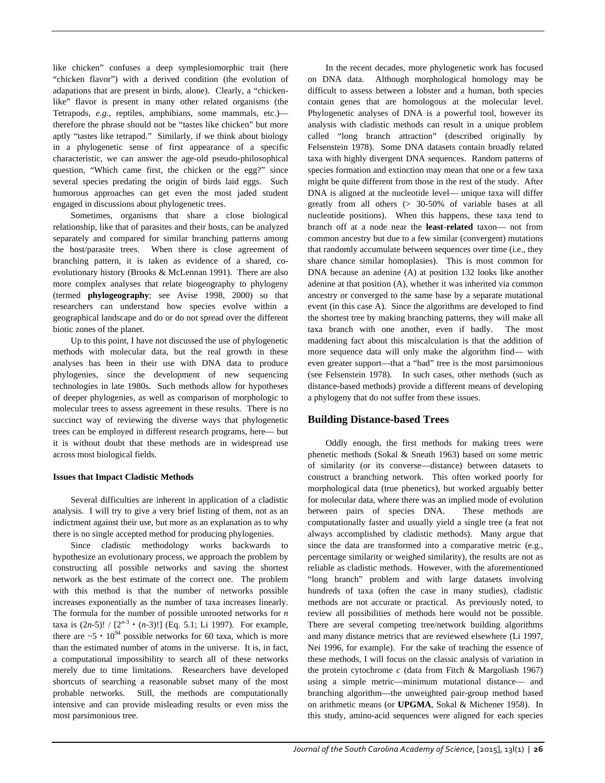like chicken" confuses a deep symplesiomorphic trait (here "chicken flavor") with a derived condition (the evolution of adapations that are present in birds, alone). Clearly, a "chickenlike" flavor is present in many other related organisms (the Tetrapods, *e.g.*, reptiles, amphibians, some mammals, etc.) therefore the phrase should not be "tastes like chicken" but more aptly "tastes like tetrapod." Similarly, if we think about biology in a phylogenetic sense of first appearance of a specific characteristic, we can answer the age-old pseudo-philosophical question, "Which came first, the chicken or the egg?" since several species predating the origin of birds laid eggs. Such humorous approaches can get even the most jaded student engaged in discussions about phylogenetic trees.

Sometimes, organisms that share a close biological relationship, like that of parasites and their hosts, can be analyzed separately and compared for similar branching patterns among the host/parasite trees. When there is close agreement of branching pattern, it is taken as evidence of a shared, coevolutionary history (Brooks & McLennan 1991). There are also more complex analyses that relate biogeography to phylogeny (termed **phylogeography**; see Avise 1998, 2000) so that researchers can understand how species evolve within a geographical landscape and do or do not spread over the different biotic zones of the planet.

Up to this point, I have not discussed the use of phylogenetic methods with molecular data, but the real growth in these analyses has been in their use with DNA data to produce phylogenies, since the development of new sequencing technologies in late 1980s. Such methods allow for hypotheses of deeper phylogenies, as well as comparison of morphologic to molecular trees to assess agreement in these results. There is no succinct way of reviewing the diverse ways that phylogenetic trees can be employed in different research programs, here— but it is without doubt that these methods are in widespread use across most biological fields.

### **Issues that Impact Cladistic Methods**

Several difficulties are inherent in application of a cladistic analysis. I will try to give a very brief listing of them, not as an indictment against their use, but more as an explanation as to why there is no single accepted method for producing phylogenies.

Since cladistic methodology works backwards to hypothesize an evolutionary process, we approach the problem by constructing all possible networks and saving the shortest network as the best estimate of the correct one. The problem with this method is that the number of networks possible increases exponentially as the number of taxa increases linearly. The formula for the number of possible unrooted networks for *n* taxa is  $(2n-5)! / [2^{n-3} \cdot (n-3)!]$  (Eq. 5.1; Li 1997). For example, there are  $~5 \cdot 10^{94}$  possible networks for 60 taxa, which is more than the estimated number of atoms in the universe. It is, in fact, a computational impossibility to search all of these networks merely due to time limitations. Researchers have developed shortcuts of searching a reasonable subset many of the most probable networks. Still, the methods are computationally intensive and can provide misleading results or even miss the most parsimonious tree.

In the recent decades, more phylogenetic work has focused on DNA data. Although morphological homology may be difficult to assess between a lobster and a human, both species contain genes that are homologous at the molecular level. Phylogenetic analyses of DNA is a powerful tool, however its analysis with cladistic methods can result in a unique problem called "long branch attraction" (described originally by Felsenstein 1978). Some DNA datasets contain broadly related taxa with highly divergent DNA sequences. Random patterns of species formation and extinction may mean that one or a few taxa might be quite different from those in the rest of the study. After DNA is aligned at the nucleotide level— unique taxa will differ greatly from all others (> 30-50% of variable bases at all nucleotide positions). When this happens, these taxa tend to branch off at a node near the **least**-**related** taxon— not from common ancestry but due to a few similar (convergent) mutations that randomly accumulate between sequences over time (i.e., they share chance similar homoplasies). This is most common for DNA because an adenine (A) at position 132 looks like another adenine at that position (A), whether it was inherited via common ancestry or converged to the same base by a separate mutational event (in this case A). Since the algorithms are developed to find the shortest tree by making branching patterns, they will make all taxa branch with one another, even if badly. The most maddening fact about this miscalculation is that the addition of more sequence data will only make the algorithm find— with even greater support—that a "bad" tree is the most parsimonious (see Felsenstein 1978). In such cases, other methods (such as distance-based methods) provide a different means of developing a phylogeny that do not suffer from these issues.

### **Building Distance-based Trees**

Oddly enough, the first methods for making trees were phenetic methods (Sokal & Sneath 1963) based on some metric of similarity (or its converse—distance) between datasets to construct a branching network. This often worked poorly for morphological data (true phenetics), but worked arguably better for molecular data, where there was an implied mode of evolution between pairs of species DNA. These methods are computationally faster and usually yield a single tree (a feat not always accomplished by cladistic methods). Many argue that since the data are transformed into a comparative metric (e.g., percentage similarity or weighed similarity), the results are not as reliable as cladistic methods. However, with the aforementioned "long branch" problem and with large datasets involving hundreds of taxa (often the case in many studies), cladistic methods are not accurate or practical. As previously noted, to review all possibilities of methods here would not be possible. There are several competing tree/network building algorithms and many distance metrics that are reviewed elsewhere (Li 1997, Nei 1996, for example). For the sake of teaching the essence of these methods, I will focus on the classic analysis of variation in the protein cytochrome *c* (data from Fitch & Margoliash 1967) using a simple metric—minimum mutational distance— and branching algorithm—the unweighted pair-group method based on arithmetic means (or **UPGMA**, Sokal & Michener 1958). In this study, amino-acid sequences were aligned for each species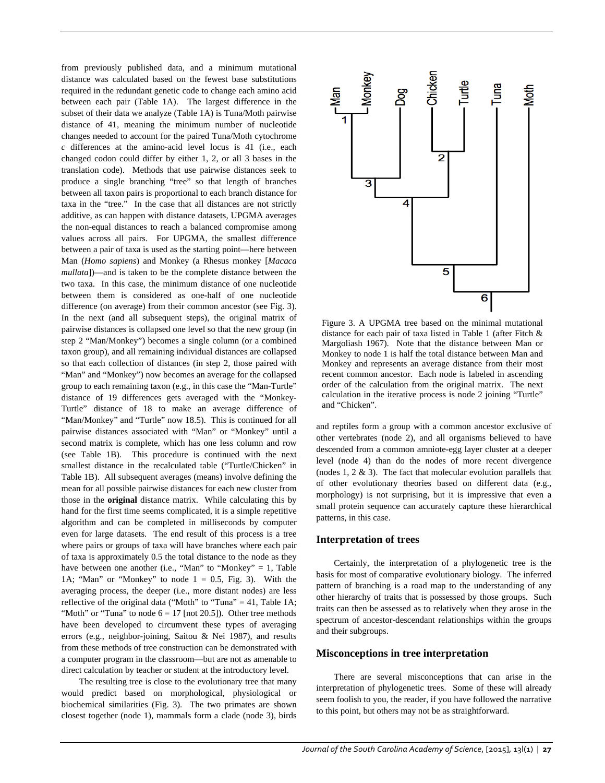from previously published data, and a minimum mutational distance was calculated based on the fewest base substitutions required in the redundant genetic code to change each amino acid between each pair (Table 1A). The largest difference in the subset of their data we analyze (Table 1A) is Tuna/Moth pairwise distance of 41, meaning the minimum number of nucleotide changes needed to account for the paired Tuna/Moth cytochrome *c* differences at the amino-acid level locus is 41 (i.e., each changed codon could differ by either 1, 2, or all 3 bases in the translation code). Methods that use pairwise distances seek to produce a single branching "tree" so that length of branches between all taxon pairs is proportional to each branch distance for taxa in the "tree." In the case that all distances are not strictly additive, as can happen with distance datasets, UPGMA averages the non-equal distances to reach a balanced compromise among values across all pairs. For UPGMA, the smallest difference between a pair of taxa is used as the starting point—here between Man (*Homo sapiens*) and Monkey (a Rhesus monkey [*Macaca mullata*])—and is taken to be the complete distance between the two taxa. In this case, the minimum distance of one nucleotide between them is considered as one-half of one nucleotide difference (on average) from their common ancestor (see Fig. 3). In the next (and all subsequent steps), the original matrix of pairwise distances is collapsed one level so that the new group (in step 2 "Man/Monkey") becomes a single column (or a combined taxon group), and all remaining individual distances are collapsed so that each collection of distances (in step 2, those paired with "Man" and "Monkey") now becomes an average for the collapsed group to each remaining taxon (e.g., in this case the "Man-Turtle" distance of 19 differences gets averaged with the "Monkey-Turtle" distance of 18 to make an average difference of "Man/Monkey" and "Turtle" now 18.5). This is continued for all pairwise distances associated with "Man" or "Monkey" until a second matrix is complete, which has one less column and row (see Table 1B). This procedure is continued with the next smallest distance in the recalculated table ("Turtle/Chicken" in Table 1B). All subsequent averages (means) involve defining the mean for all possible pairwise distances for each new cluster from those in the **original** distance matrix. While calculating this by hand for the first time seems complicated, it is a simple repetitive algorithm and can be completed in milliseconds by computer even for large datasets. The end result of this process is a tree where pairs or groups of taxa will have branches where each pair of taxa is approximately 0.5 the total distance to the node as they have between one another (i.e., "Man" to "Monkey" = 1, Table 1A; "Man" or "Monkey" to node  $1 = 0.5$ , Fig. 3). With the averaging process, the deeper (i.e., more distant nodes) are less reflective of the original data ("Moth" to "Tuna" = 41, Table 1A; "Moth" or "Tuna" to node  $6 = 17$  [not 20.5]). Other tree methods have been developed to circumvent these types of averaging errors (e.g., neighbor-joining, Saitou & Nei 1987), and results from these methods of tree construction can be demonstrated with a computer program in the classroom—but are not as amenable to direct calculation by teacher or student at the introductory level.

The resulting tree is close to the evolutionary tree that many would predict based on morphological, physiological or biochemical similarities (Fig. 3). The two primates are shown closest together (node 1), mammals form a clade (node 3), birds



Figure 3. A UPGMA tree based on the minimal mutational distance for each pair of taxa listed in Table 1 (after Fitch & Margoliash 1967). Note that the distance between Man or Monkey to node 1 is half the total distance between Man and Monkey and represents an average distance from their most recent common ancestor. Each node is labeled in ascending order of the calculation from the original matrix. The next calculation in the iterative process is node 2 joining "Turtle" and "Chicken".

and reptiles form a group with a common ancestor exclusive of other vertebrates (node 2), and all organisms believed to have descended from a common amniote-egg layer cluster at a deeper level (node 4) than do the nodes of more recent divergence (nodes  $1, 2 \& 3$ ). The fact that molecular evolution parallels that of other evolutionary theories based on different data (e.g., morphology) is not surprising, but it is impressive that even a small protein sequence can accurately capture these hierarchical patterns, in this case.

### **Interpretation of trees**

Certainly, the interpretation of a phylogenetic tree is the basis for most of comparative evolutionary biology. The inferred pattern of branching is a road map to the understanding of any other hierarchy of traits that is possessed by those groups. Such traits can then be assessed as to relatively when they arose in the spectrum of ancestor-descendant relationships within the groups and their subgroups.

### **Misconceptions in tree interpretation**

There are several misconceptions that can arise in the interpretation of phylogenetic trees. Some of these will already seem foolish to you, the reader, if you have followed the narrative to this point, but others may not be as straightforward.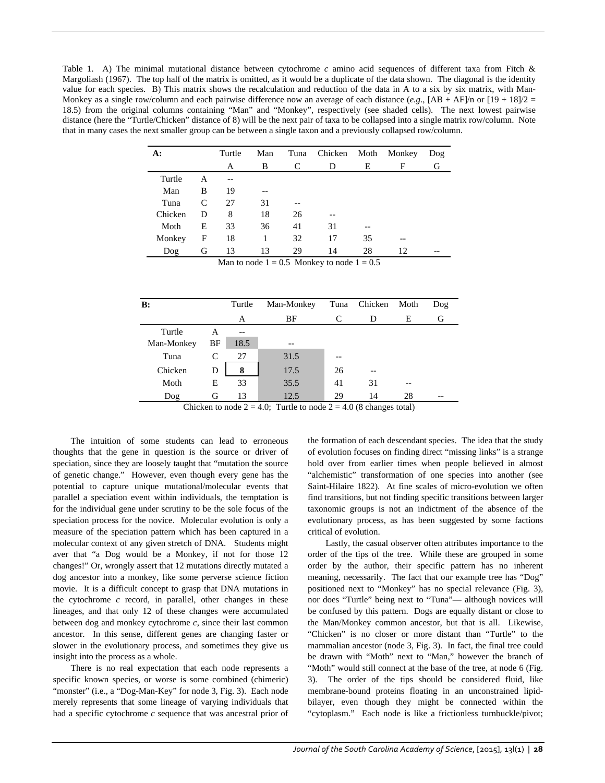Table 1. A) The minimal mutational distance between cytochrome *c* amino acid sequences of different taxa from Fitch & Margoliash (1967). The top half of the matrix is omitted, as it would be a duplicate of the data shown. The diagonal is the identity value for each species. B) This matrix shows the recalculation and reduction of the data in A to a six by six matrix, with Man-Monkey as a single row/column and each pairwise difference now an average of each distance  $(e.g., [AB + AF]/n$  or  $[19 + 18]/2 =$ 18.5) from the original columns containing "Man" and "Monkey", respectively (see shaded cells). The next lowest pairwise distance (here the "Turtle/Chicken" distance of 8) will be the next pair of taxa to be collapsed into a single matrix row/column. Note that in many cases the next smaller group can be between a single taxon and a previously collapsed row/column.

| A:                                             |               | Turtle | Man | Tuna | Chicken | Moth | Monkey | Dog |  |  |
|------------------------------------------------|---------------|--------|-----|------|---------|------|--------|-----|--|--|
|                                                |               | A      | B   | C    | D       | E    | F      | G   |  |  |
| Turtle                                         | A             | $-$    |     |      |         |      |        |     |  |  |
| Man                                            | B             | 19     |     |      |         |      |        |     |  |  |
| Tuna                                           | $\mathcal{C}$ | 27     | 31  |      |         |      |        |     |  |  |
| Chicken                                        | D             | 8      | 18  | 26   |         |      |        |     |  |  |
| Moth                                           | E             | 33     | 36  | 41   | 31      |      |        |     |  |  |
| Monkey                                         | F             | 18     | 1   | 32   | 17      | 35   |        |     |  |  |
| Dog                                            | G             | 13     | 13  | 29   | 14      | 28   | 12     |     |  |  |
| Man to node $1 = 0.5$ Monkey to node $1 = 0.5$ |               |        |     |      |         |      |        |     |  |  |

| B:         |    | Turtle | Man-Monkey |    | Tuna Chicken Moth |    | Dog |
|------------|----|--------|------------|----|-------------------|----|-----|
|            |    | A      | BF         |    | D                 | Е  | G   |
| Turtle     | A  | $-$    |            |    |                   |    |     |
| Man-Monkey | BF | 18.5   | --         |    |                   |    |     |
| Tuna       | C  | 27     | 31.5       |    |                   |    |     |
| Chicken    | D  | 8      | 17.5       | 26 | --                |    |     |
| Moth       | Е  | 33     | 35.5       | 41 | 31                | -- |     |
| Dog        | G  | 13     | 12.5       | 29 | 14                | 28 |     |

Chicken to node  $2 = 4.0$ ; Turtle to node  $2 = 4.0$  (8 changes total)

The intuition of some students can lead to erroneous thoughts that the gene in question is the source or driver of speciation, since they are loosely taught that "mutation the source of genetic change." However, even though every gene has the potential to capture unique mutational/molecular events that parallel a speciation event within individuals, the temptation is for the individual gene under scrutiny to be the sole focus of the speciation process for the novice. Molecular evolution is only a measure of the speciation pattern which has been captured in a molecular context of any given stretch of DNA. Students might aver that "a Dog would be a Monkey, if not for those 12 changes!" Or, wrongly assert that 12 mutations directly mutated a dog ancestor into a monkey, like some perverse science fiction movie. It is a difficult concept to grasp that DNA mutations in the cytochrome *c* record, in parallel, other changes in these lineages, and that only 12 of these changes were accumulated between dog and monkey cytochrome *c*, since their last common ancestor. In this sense, different genes are changing faster or slower in the evolutionary process, and sometimes they give us insight into the process as a whole.

There is no real expectation that each node represents a specific known species, or worse is some combined (chimeric) "monster" (i.e., a "Dog-Man-Key" for node 3, Fig. 3). Each node merely represents that some lineage of varying individuals that had a specific cytochrome *c* sequence that was ancestral prior of

the formation of each descendant species. The idea that the study of evolution focuses on finding direct "missing links" is a strange hold over from earlier times when people believed in almost "alchemistic" transformation of one species into another (see Saint-Hilaire 1822). At fine scales of micro-evolution we often find transitions, but not finding specific transitions between larger taxonomic groups is not an indictment of the absence of the evolutionary process, as has been suggested by some factions critical of evolution.

Lastly, the casual observer often attributes importance to the order of the tips of the tree. While these are grouped in some order by the author, their specific pattern has no inherent meaning, necessarily. The fact that our example tree has "Dog" positioned next to "Monkey" has no special relevance (Fig. 3), nor does "Turtle" being next to "Tuna"— although novices will be confused by this pattern. Dogs are equally distant or close to the Man/Monkey common ancestor, but that is all. Likewise, "Chicken" is no closer or more distant than "Turtle" to the mammalian ancestor (node 3, Fig. 3). In fact, the final tree could be drawn with "Moth" next to "Man," however the branch of "Moth" would still connect at the base of the tree, at node 6 (Fig. 3). The order of the tips should be considered fluid, like membrane-bound proteins floating in an unconstrained lipidbilayer, even though they might be connected within the "cytoplasm." Each node is like a frictionless turnbuckle/pivot;